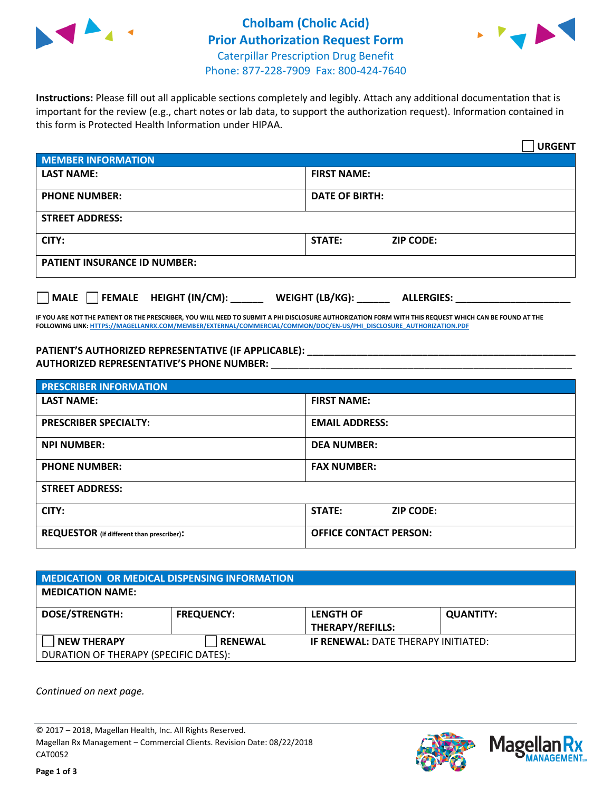



**Instructions:** Please fill out all applicable sections completely and legibly. Attach any additional documentation that is important for the review (e.g., chart notes or lab data, to support the authorization request). Information contained in this form is Protected Health Information under HIPAA.

|                                       | <b>URGENT</b>                          |  |
|---------------------------------------|----------------------------------------|--|
| <b>MEMBER INFORMATION</b>             |                                        |  |
| <b>LAST NAME:</b>                     | <b>FIRST NAME:</b>                     |  |
| <b>PHONE NUMBER:</b>                  | <b>DATE OF BIRTH:</b>                  |  |
| <b>STREET ADDRESS:</b>                |                                        |  |
| CITY:                                 | <b>ZIP CODE:</b><br>STATE:             |  |
| <b>PATIENT INSURANCE ID NUMBER:</b>   |                                        |  |
| FEMALE HEIGHT (IN/CM):<br><b>MALE</b> | WEIGHT (LB/KG): _<br><b>ALLERGIES:</b> |  |

**IF YOU ARE NOT THE PATIENT OR THE PRESCRIBER, YOU WILL NEED TO SUBMIT A PHI DISCLOSURE AUTHORIZATION FORM WITH THIS REQUEST WHICH CAN BE FOUND AT THE FOLLOWING LINK[: HTTPS://MAGELLANRX.COM/MEMBER/EXTERNAL/COMMERCIAL/COMMON/DOC/EN-US/PHI\\_DISCLOSURE\\_AUTHORIZATION.PDF](https://magellanrx.com/member/external/commercial/common/doc/en-us/PHI_Disclosure_Authorization.pdf)**

**PATIENT'S AUTHORIZED REPRESENTATIVE (IF APPLICABLE): \_\_\_\_\_\_\_\_\_\_\_\_\_\_\_\_\_\_\_\_\_\_\_\_\_\_\_\_\_\_\_\_\_\_\_\_\_\_\_\_\_\_\_\_\_\_\_\_\_ AUTHORIZED REPRESENTATIVE'S PHONE NUMBER:** \_\_\_\_\_\_\_\_\_\_\_\_\_\_\_\_\_\_\_\_\_\_\_\_\_\_\_\_\_\_\_\_\_\_\_\_\_\_\_\_\_\_\_\_\_\_\_\_\_\_\_\_\_\_\_

| <b>PRESCRIBER INFORMATION</b>             |                               |  |  |  |
|-------------------------------------------|-------------------------------|--|--|--|
| <b>LAST NAME:</b>                         | <b>FIRST NAME:</b>            |  |  |  |
| <b>PRESCRIBER SPECIALTY:</b>              | <b>EMAIL ADDRESS:</b>         |  |  |  |
| <b>NPI NUMBER:</b>                        | <b>DEA NUMBER:</b>            |  |  |  |
| <b>PHONE NUMBER:</b>                      | <b>FAX NUMBER:</b>            |  |  |  |
| <b>STREET ADDRESS:</b>                    |                               |  |  |  |
| CITY:                                     | STATE:<br><b>ZIP CODE:</b>    |  |  |  |
| REQUESTOR (if different than prescriber): | <b>OFFICE CONTACT PERSON:</b> |  |  |  |

| <b>MEDICATION OR MEDICAL DISPENSING INFORMATION</b> |                   |                                            |                  |  |  |
|-----------------------------------------------------|-------------------|--------------------------------------------|------------------|--|--|
| <b>MEDICATION NAME:</b>                             |                   |                                            |                  |  |  |
| <b>DOSE/STRENGTH:</b>                               | <b>FREQUENCY:</b> | <b>LENGTH OF</b>                           | <b>QUANTITY:</b> |  |  |
|                                                     |                   | <b>THERAPY/REFILLS:</b>                    |                  |  |  |
| <b>NEW THERAPY</b>                                  | <b>RENEWAL</b>    | <b>IF RENEWAL: DATE THERAPY INITIATED:</b> |                  |  |  |
| DURATION OF THERAPY (SPECIFIC DATES):               |                   |                                            |                  |  |  |

*Continued on next page.*

© 2017 – 2018, Magellan Health, Inc. All Rights Reserved. Magellan Rx Management – Commercial Clients. Revision Date: 08/22/2018 CAT0052



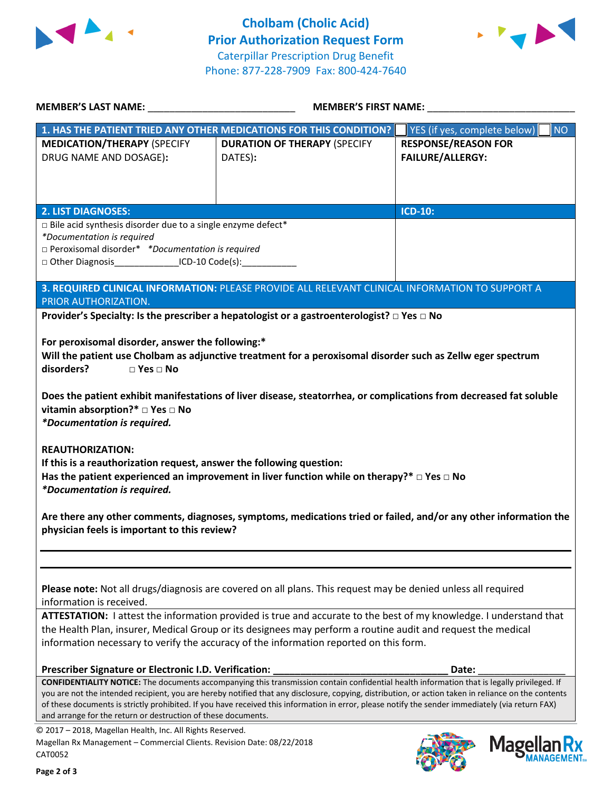



| MEMBER'S LAST NAME: NAME:                                                                                                                                                                                                            | MEMBER'S FIRST NAME:                                                                                                                                                                                                                                                                                                                                                                                                                                   |                                                       |  |
|--------------------------------------------------------------------------------------------------------------------------------------------------------------------------------------------------------------------------------------|--------------------------------------------------------------------------------------------------------------------------------------------------------------------------------------------------------------------------------------------------------------------------------------------------------------------------------------------------------------------------------------------------------------------------------------------------------|-------------------------------------------------------|--|
|                                                                                                                                                                                                                                      | 1. HAS THE PATIENT TRIED ANY OTHER MEDICATIONS FOR THIS CONDITION?                                                                                                                                                                                                                                                                                                                                                                                     | YES (if yes, complete below)<br><b>NO</b>             |  |
| <b>MEDICATION/THERAPY (SPECIFY</b><br>DRUG NAME AND DOSAGE):                                                                                                                                                                         | <b>DURATION OF THERAPY (SPECIFY</b><br>DATES):                                                                                                                                                                                                                                                                                                                                                                                                         | <b>RESPONSE/REASON FOR</b><br><b>FAILURE/ALLERGY:</b> |  |
| <b>2. LIST DIAGNOSES:</b>                                                                                                                                                                                                            |                                                                                                                                                                                                                                                                                                                                                                                                                                                        | <b>ICD-10:</b>                                        |  |
| $\Box$ Bile acid synthesis disorder due to a single enzyme defect*<br>*Documentation is required<br>$\square$ Peroxisomal disorder* *Documentation is required<br>□ Other Diagnosis__________________ICD-10 Code(s):________________ |                                                                                                                                                                                                                                                                                                                                                                                                                                                        |                                                       |  |
| PRIOR AUTHORIZATION.                                                                                                                                                                                                                 | 3. REQUIRED CLINICAL INFORMATION: PLEASE PROVIDE ALL RELEVANT CLINICAL INFORMATION TO SUPPORT A                                                                                                                                                                                                                                                                                                                                                        |                                                       |  |
|                                                                                                                                                                                                                                      | Provider's Specialty: Is the prescriber a hepatologist or a gastroenterologist? $\square$ Yes $\square$ No                                                                                                                                                                                                                                                                                                                                             |                                                       |  |
| disorders?<br>$\Box$ Yes $\Box$ No<br>vitamin absorption?* □ Yes □ No<br>*Documentation is required.                                                                                                                                 | Will the patient use Cholbam as adjunctive treatment for a peroxisomal disorder such as Zellw eger spectrum<br>Does the patient exhibit manifestations of liver disease, steatorrhea, or complications from decreased fat soluble                                                                                                                                                                                                                      |                                                       |  |
| <b>REAUTHORIZATION:</b><br>If this is a reauthorization request, answer the following question:<br><i>*Documentation is required.</i>                                                                                                | Has the patient experienced an improvement in liver function while on therapy?* $\Box$ Yes $\Box$ No                                                                                                                                                                                                                                                                                                                                                   |                                                       |  |
| physician feels is important to this review?                                                                                                                                                                                         | Are there any other comments, diagnoses, symptoms, medications tried or failed, and/or any other information the                                                                                                                                                                                                                                                                                                                                       |                                                       |  |
| information is received.                                                                                                                                                                                                             | Please note: Not all drugs/diagnosis are covered on all plans. This request may be denied unless all required<br>ATTESTATION: I attest the information provided is true and accurate to the best of my knowledge. I understand that<br>the Health Plan, insurer, Medical Group or its designees may perform a routine audit and request the medical<br>information necessary to verify the accuracy of the information reported on this form.          |                                                       |  |
| Prescriber Signature or Electronic I.D. Verification:                                                                                                                                                                                |                                                                                                                                                                                                                                                                                                                                                                                                                                                        | Date:                                                 |  |
| and arrange for the return or destruction of these documents.                                                                                                                                                                        | CONFIDENTIALITY NOTICE: The documents accompanying this transmission contain confidential health information that is legally privileged. If<br>you are not the intended recipient, you are hereby notified that any disclosure, copying, distribution, or action taken in reliance on the contents<br>of these documents is strictly prohibited. If you have received this information in error, please notify the sender immediately (via return FAX) |                                                       |  |
| © 2017 - 2018, Magellan Health, Inc. All Rights Reserved.<br>Magellan Rx Management - Commercial Clients. Revision Date: 08/22/2018<br>CAT0052                                                                                       |                                                                                                                                                                                                                                                                                                                                                                                                                                                        | <b>Mage</b>                                           |  |